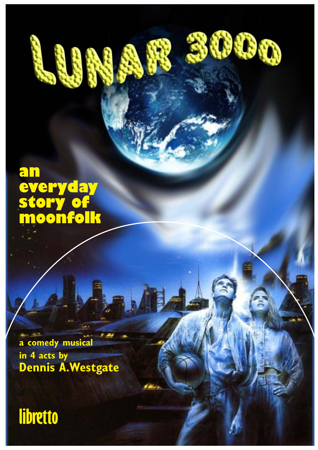### **an everyday story of moonfolk**

**a comedy musical in 4 acts by Dennis A.Westgate**

**© 2020 Lunar 3000 • TYNE MUSIC • tynemusiclimited@gmail.com**

3000

# **libretto**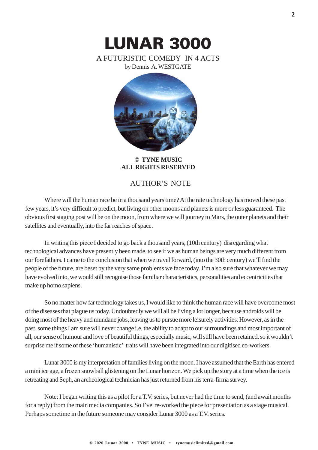

**© TYNE MUSIC ALL RIGHTS RESERVED**

#### AUTHOR'S NOTE

Where will the human race be in a thousand years time? At the rate technology has moved these past few years, it's very difficult to predict, but living on other moons and planets is more or less guaranteed. The obvious first staging post will be on the moon, from where we will journey to Mars, the outer planets and their satellites and eventually, into the far reaches of space.

In writing this piece I decided to go back a thousand years, (10th century) disregarding what technological advances have presently been made, to see if we as human beings are very much different from our forefathers. I came to the conclusion that when we travel forward, (into the 30th century) we'll find the people of the future, are beset by the very same problems we face today. I'm also sure that whatever we may have evolved into, we would still recognise those familiar characteristics, personalities and eccentricities that make up homo sapiens.

So no matter how far technology takes us, I would like to think the human race will have overcome most of the diseases that plague us today. Undoubtedly we will all be living a lot longer, because androids will be doing most of the heavy and mundane jobs, leaving us to pursue more leisurely activities. However, as in the past, some things I am sure will never change i.e. the ability to adapt to our surroundings and most important of all, our sense of humour and love of beautiful things, especially music, will still have been retained, so it wouldn't surprise me if some of these 'humanistic' traits will have been integrated into our digitised co-workers.

Lunar 3000 is my interpretation of families living on the moon. I have assumed that the Earth has entered a mini ice age, a frozen snowball glistening on the Lunar horizon. We pick up the story at a time when the ice is retreating and Seph, an archeological technician has just returned from his terra-firma survey.

Note: I began writing this as a pilot for a T.V. series, but never had the time to send, (and await months for a reply) from the main media companies. So I've re-worked the piece for presentation as a stage musical. Perhaps sometime in the future someone may consider Lunar 3000 as a T.V. series.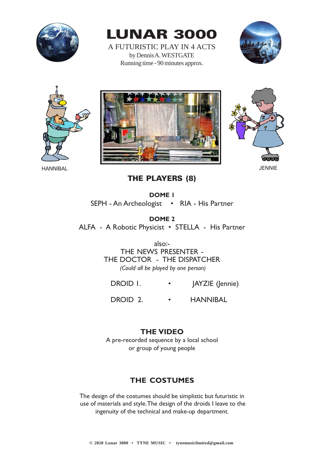

LUNAR 3000

A FUTURISTIC PLAY IN 4 ACTS by Dennis A. WESTGATE Running time - 90 minutes approx.









THE PLAYERS (8)

**DOME 1** SEPH - An Archeologist • RIA - His Partner

**DOME 2** ALFA - A Robotic Physicist • STELLA - His Partner

> also:- THE NEWS PRESENTER - THE DOCTOR - THE DISPATCHER  *(Could all be played by one person)*

DROID I. • JAYZIE (Jennie)

DROID 2. • HANNIBAL

#### **THE VIDEO**

A pre-recorded sequence by a local school or group of young people

#### **THE COSTUMES**

The design of the costumes should be simplistic but futuristic in use of materials and style. The design of the droids I leave to the ingenuity of the technical and make-up department.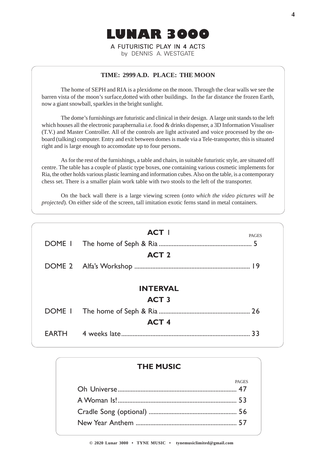

#### **TIME: 2999 A.D. PLACE: THE MOON**

The home of SEPH and RIA is a plexidome on the moon. Through the clear walls we see the barren vista of the moon's surface,dotted with other buildings. In the far distance the frozen Earth, now a giant snowball, sparkles in the bright sunlight.

The dome's furnishings are futuristic and clinical in their design. A large unit stands to the left which houses all the electronic paraphernalia i.e. food & drinks dispenser, a 3D Information Visualiser (T.V.) and Master Controller. All of the controls are light activated and voice processed by the onboard (talking) computer. Entry and exit between domes is made via a Tele-transporter, this is situated right and is large enough to accomodate up to four persons.

As for the rest of the furnishings, a table and chairs, in suitable futuristic style, are situated off centre. The table has a couple of plastic type boxes, one containing various cosmetic implements for Ria, the other holds various plastic learning and information cubes. Also on the table, is a contemporary chess set. There is a smaller plain work table with two stools to the left of the transporter.

On the back wall there is a large viewing screen (*onto which the video pictures will be projected*). On either side of the screen, tall imitation exotic ferns stand in metal containers.

| <b>ACT I</b>     | <b>PAGES</b>                    |
|------------------|---------------------------------|
|                  |                                 |
| <b>ACT 2</b>     |                                 |
|                  |                                 |
|                  |                                 |
|                  |                                 |
|                  |                                 |
|                  |                                 |
| ACT <sub>4</sub> |                                 |
|                  | 33                              |
|                  | <b>INTERVAL</b><br><b>ACT 3</b> |

#### **THE MUSIC**

| PAGES |
|-------|
|       |
|       |
|       |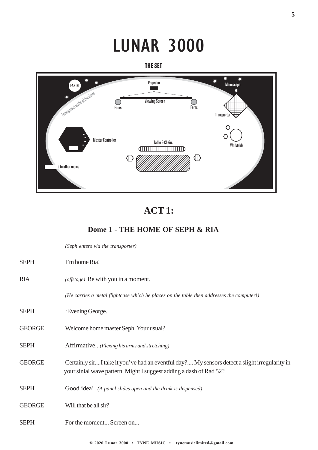# LUNAR 3000

THE SET



### **ACT 1:**

#### **Dome 1 - THE HOME OF SEPH & RIA**

*(Seph enters via the transporter)*

| <b>SEPH</b>   | I'm home Ria!                                                                                                                                                       |
|---------------|---------------------------------------------------------------------------------------------------------------------------------------------------------------------|
| <b>RIA</b>    | (offstage) Be with you in a moment.                                                                                                                                 |
|               | (He carries a metal flightcase which he places on the table then addresses the computer!)                                                                           |
| <b>SEPH</b>   | 'Evening George.                                                                                                                                                    |
| <b>GEORGE</b> | Welcome home master Seph. Your usual?                                                                                                                               |
| <b>SEPH</b>   | Affirmative(Flexing his arms and stretching)                                                                                                                        |
| <b>GEORGE</b> | Certainly sirI take it you've had an eventful day? My sensors detect a slight irregularity in<br>your sinial wave pattern. Might I suggest adding a dash of Rad 52? |
| <b>SEPH</b>   | Good idea! (A panel slides open and the drink is dispensed)                                                                                                         |
| <b>GEORGE</b> | Will that be all sir?                                                                                                                                               |
| <b>SEPH</b>   | For the moment Screen on                                                                                                                                            |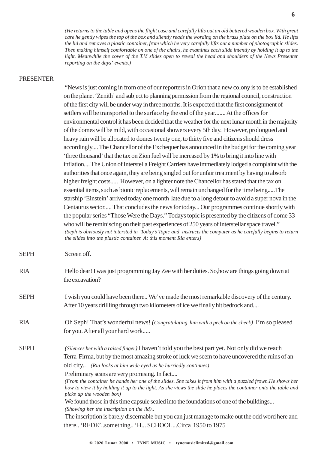*(He returns to the table and opens the flight case and carefully lifts out an old battered wooden box. With great care he gently wipes the top of the box and silently reads the wording on the brass plate on the box lid. He lifts the lid and removes a plastic container, from which he very carefully lifts out a number of photographic slides. Then making himself comfortable on one of the chairs, he examines each slide intently by holding it up to the light. Meanwhile the cover of the T.V. slides open to reveal the head and shoulders of the News Presenter reporting on the days' events.)*

#### PRESENTER

"News is just coming in from one of our reporters in Orion that a new colony is to be established on the planet 'Zenith' and subject to planning permission from the regional council, construction of the first city will be under way in three months. It is expected that the first consignment of settlers will be transported to the surface by the end of the year....... At the offices for environmental control it has been decided that the weather for the next lunar month in the majority of the domes will be mild, with occasional showers every 5th day. However, prolongued and heavy rain will be allocated to domes twenty one, to thirty five and citizens should dress accordingly.... The Chancellor of the Exchequer has announced in the budget for the coming year 'three thousand' that the tax on Zion fuel will be increased by 1% to bring it into line with inflation.... The Union of Interstella Freight Carriers have immediately lodged a complaint with the authorities that once again, they are being singled out for unfair treatment by having to absorb higher freight costs..... However, on a lighter note the Chancellor has stated that the tax on essential items, such as bionic replacements, will remain unchanged for the time being.....The starship 'Einstein' arrived today one month late due to a long detour to avoid a super nova in the Centaurus sector..... That concludes the news for today... Our programmes continue shortly with the popular series "Those Were the Days." Todays topic is presented by the citizens of dome 33 who will be reminiscing on their past experiences of 250 years of interstellar space travel." *(Seph is obviously not intersted in 'Today's Topic and instructs the computer as he carefully begins to return the slides into the plastic container. At this moment Ria enters)*

SEPH Screen off.

- RIA Hello dear! I was just programming Jay Zee with her duties. So,how are things going down at the excavation?
- SEPH I wish you could have been there.. We've made the most remarkable discovery of the century. After 10 years drillling through two kilometers of ice we finally hit bedrock and....
- RIA Oh Seph! That's wonderful news! *(Congratulating him with a peck on the cheek)* I'm so pleased for you. After all your hard work.....
- SEPH *(Silences her with a raised finger)* I haven't told you the best part yet. Not only did we reach Terra-Firma, but by the most amazing stroke of luck we seem to have uncovered the ruins of an old city.. *(Ria looks at him wide eyed as he hurriedly continues)*

Preliminary scans are very promising. In fact....

*(From the container he hands her one of the slides. She takes it from him with a puzzled frown.He shows her how to view it by holding it up to the light. As she views the slide he places the container onto the table and picks up the wooden box)*

We found those in this time capsule sealed into the foundations of one of the buildings... *(Showing her the inscription on the lid)..*

The inscription is barely discernable but you can just manage to make out the odd word here and there.. 'REDE'..something.. 'H... SCHOOL...Circa 1950 to 1975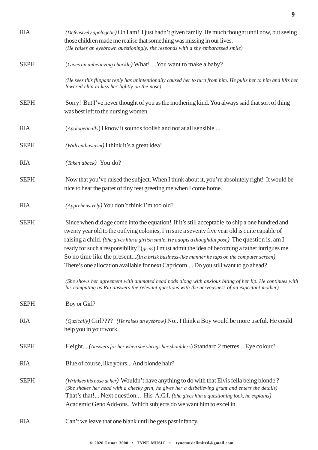| <b>RIA</b>  | (Defensively apologetic) Oh I am! I just hadn't given family life much thought until now, but seeing<br>those children made me realise that something was missing in our lives.<br>(He raises an eyebrown questioningly, she responds with a shy embarassed smile)                                                                                                                                                                                                                                                                                                                               |
|-------------|--------------------------------------------------------------------------------------------------------------------------------------------------------------------------------------------------------------------------------------------------------------------------------------------------------------------------------------------------------------------------------------------------------------------------------------------------------------------------------------------------------------------------------------------------------------------------------------------------|
| <b>SEPH</b> | (Gives an unbelieving chuckle) What! You want to make a baby?                                                                                                                                                                                                                                                                                                                                                                                                                                                                                                                                    |
|             | (He sees this flippant reply has unintentionally caused her to turn from him. He pulls her to him and lifts her<br>lowered chin to kiss her lightly on the nose)                                                                                                                                                                                                                                                                                                                                                                                                                                 |
| <b>SEPH</b> | Sorry! But I've never thought of you as the mothering kind. You always said that sort of thing<br>was best left to the nursing women.                                                                                                                                                                                                                                                                                                                                                                                                                                                            |
| <b>RIA</b>  | (Apologetically) I know it sounds foolish and not at all sensible                                                                                                                                                                                                                                                                                                                                                                                                                                                                                                                                |
| <b>SEPH</b> | (With enthusiasm) I think it's a great idea!                                                                                                                                                                                                                                                                                                                                                                                                                                                                                                                                                     |
| <b>RIA</b>  | (Taken aback) You do?                                                                                                                                                                                                                                                                                                                                                                                                                                                                                                                                                                            |
| <b>SEPH</b> | Now that you've raised the subject. When I think about it, you're absolutely right! It would be<br>nice to hear the patter of tiny feet greeting me when I come home.                                                                                                                                                                                                                                                                                                                                                                                                                            |
| <b>RIA</b>  | (Apprehensively) You don't think I'm too old?                                                                                                                                                                                                                                                                                                                                                                                                                                                                                                                                                    |
| <b>SEPH</b> | Since when did age come into the equation! If it's still acceptable to ship a one hundred and<br>twenty year old to the outlying colonies, I'm sure a seventy five year old is quite capable of<br>raising a child. (She gives him a girlish smile, He adopts a thoughtful pose) The question is, am I<br>ready for such a responsibility? (grins) I must admit the idea of becoming a father intrigues me.<br>So no time like the present(In a brisk business-like manner he taps on the computer screen)<br>There's one allocation available for next Capricorn Do you still want to go ahead? |
|             | (She shows her agreement with animated head nods along with anxious biting of her lip. He continues with<br>his computing as Ria answers the relevant questions with the nervousness of an expectant mother)                                                                                                                                                                                                                                                                                                                                                                                     |
| <b>SEPH</b> | Boy or Girl?                                                                                                                                                                                                                                                                                                                                                                                                                                                                                                                                                                                     |
| <b>RIA</b>  | $(Quzically)$ Girl???? (He raises an eyebrow) No. I think a Boy would be more useful. He could<br>help you in your work.                                                                                                                                                                                                                                                                                                                                                                                                                                                                         |
| <b>SEPH</b> | Height (Answers for her when she shrugs her shoulders) Standard 2 metres Eye colour?                                                                                                                                                                                                                                                                                                                                                                                                                                                                                                             |
| <b>RIA</b>  | Blue of course, like yours And blonde hair?                                                                                                                                                                                                                                                                                                                                                                                                                                                                                                                                                      |
| <b>SEPH</b> | (Wrinkles his nose at her) Wouldn't have anything to do with that Elvis fella being blonde?<br>(She shakes her head with a cheeky grin, he gives her a disbelieving grunt and enters the details)<br>That's that! Next question His A.G.I. (She gives him a questioning look, he explains)<br>Academic Geno Add-ons Which subjects do we want him to excel in.                                                                                                                                                                                                                                   |
| <b>RIA</b>  | Can't we leave that one blank until he gets past infancy.                                                                                                                                                                                                                                                                                                                                                                                                                                                                                                                                        |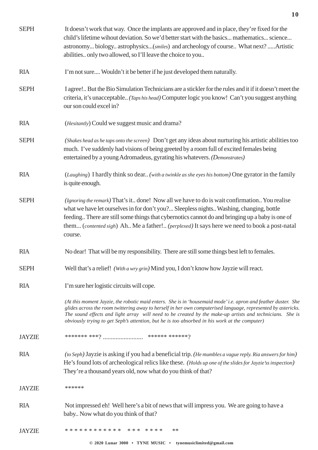| <b>SEPH</b>   | It doesn't work that way. Once the implants are approved and in place, they're fixed for the<br>child's lifetime wihout deviation. So we'd better start with the basics mathematics science<br>astronomy biology astrophysics(smiles) and archeology of course What next?Artistic<br>abilities only two allowed, so I'll leave the choice to you                                                                                             |
|---------------|----------------------------------------------------------------------------------------------------------------------------------------------------------------------------------------------------------------------------------------------------------------------------------------------------------------------------------------------------------------------------------------------------------------------------------------------|
| <b>RIA</b>    | I'm not sure Wouldn't it be better if he just developed them naturally.                                                                                                                                                                                                                                                                                                                                                                      |
| <b>SEPH</b>   | I agree! But the Bio Simulation Technicians are a stickler for the rules and it if it doesn't meet the<br>criteria, it's unacceptable (Taps his head) Computer logic you know! Can't you suggest anything<br>our son could excel in?                                                                                                                                                                                                         |
| <b>RIA</b>    | (Hesitantly) Could we suggest music and drama?                                                                                                                                                                                                                                                                                                                                                                                               |
| <b>SEPH</b>   | (Shakes head as he taps onto the screen) Don't get any ideas about nurturing his artistic abilities too<br>much. I've suddenly had visions of being greeted by a room full of excited females being<br>entertained by a young Adromadeus, gyrating his whatevers. (Demonstrates)                                                                                                                                                             |
| <b>RIA</b>    | (Laughing) I hardly think so dear (with a twinkle as she eyes his bottom) One gyrator in the family<br>is quite enough.                                                                                                                                                                                                                                                                                                                      |
| <b>SEPH</b>   | (Ignoring the remark) That's it done! Now all we have to do is wait confirmation You realise<br>what we have let ourselves in for don't you? Sleepless nights Washing, changing, bottle<br>feeding There are still some things that cybernotics cannot do and bringing up a baby is one of<br>them (contented sigh) Ah Me a father! (perplexed) It says here we need to book a post-natal<br>course.                                         |
| <b>RIA</b>    | No dear! That will be my responsibility. There are still some things best left to females.                                                                                                                                                                                                                                                                                                                                                   |
| <b>SEPH</b>   | Well that's a relief! (With a wry grin) Mind you, I don't know how Jayzie will react.                                                                                                                                                                                                                                                                                                                                                        |
| <b>RIA</b>    | I'm sure her logistic circuits will cope.                                                                                                                                                                                                                                                                                                                                                                                                    |
|               | (At this moment Jayzie, the robotic maid enters. She is in 'housemaid mode' i.e. apron and feather duster. She<br>glides across the room twittering away to herself in her own computerised language, represented by astericks.<br>The sound effects and light array will need to be created by the make-up artists and technicians. She is<br>obviously trying to get Seph's attention, but he is too absorbed in his work at the computer) |
| <b>JAYZIE</b> |                                                                                                                                                                                                                                                                                                                                                                                                                                              |
| <b>RIA</b>    | (to Seph) Jayzie is asking if you had a beneficial trip. (He mumbles a vague reply. Ria answers for him)<br>He's found lots of archeological relics like these. (Holds up one of the slides for Jayzie's inspection)<br>They're a thousand years old, now what do you think of that?                                                                                                                                                         |
| <b>JAYZIE</b> | ******                                                                                                                                                                                                                                                                                                                                                                                                                                       |
| <b>RIA</b>    | Not impressed eh! Well here's a bit of news that will impress you. We are going to have a<br>baby Now what do you think of that?                                                                                                                                                                                                                                                                                                             |
| <b>JAYZIE</b> | ************ *** ***<br>**                                                                                                                                                                                                                                                                                                                                                                                                                   |
|               | © 2020 Lunar 3000 • TYNE MUSIC • tynemusiclimited@gmail.com                                                                                                                                                                                                                                                                                                                                                                                  |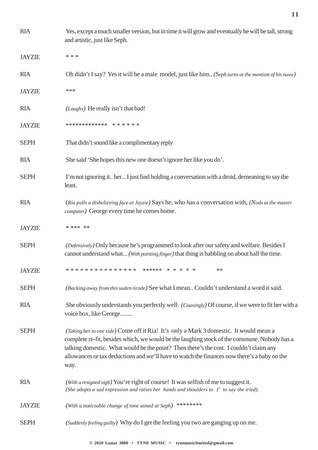| <b>RIA</b>    | Yes, except a much smaller version, but in time it will grow and eventually he will be tall, strong<br>and artistic, just like Seph.                                                                                                                                                                                                                                                   |
|---------------|----------------------------------------------------------------------------------------------------------------------------------------------------------------------------------------------------------------------------------------------------------------------------------------------------------------------------------------------------------------------------------------|
| <b>JAYZIE</b> | * * *                                                                                                                                                                                                                                                                                                                                                                                  |
| <b>RIA</b>    | Oh didn't I say? Yes it will be a male model, just like him (Seph turns at the mention of his name)                                                                                                                                                                                                                                                                                    |
| <b>JAYZIE</b> | ***                                                                                                                                                                                                                                                                                                                                                                                    |
| <b>RIA</b>    | (Laughs) He really isn't that bad!                                                                                                                                                                                                                                                                                                                                                     |
| <b>JAYZIE</b> | ************* * * * * * *                                                                                                                                                                                                                                                                                                                                                              |
| <b>SEPH</b>   | That didn't sound like a complimentary reply                                                                                                                                                                                                                                                                                                                                           |
| <b>RIA</b>    | She said 'She hopes this new one doesn't ignore her like you do'.                                                                                                                                                                                                                                                                                                                      |
| <b>SEPH</b>   | I'm not ignoring it her I just find holding a conversation with a droid, demeaning to say the<br>least.                                                                                                                                                                                                                                                                                |
| <b>RIA</b>    | (Ria pulls a disbelieving face at Jayzie) Says he, who has a conversation with, (Nods at the master<br>computer) George every time he comes home.                                                                                                                                                                                                                                      |
| <b>JAYZIE</b> | * *** **                                                                                                                                                                                                                                                                                                                                                                               |
| <b>SEPH</b>   | (Defensively) Only because he's programmed to look after our safety and welfare. Besides I<br>cannot understand what (With pointing finger) that thing is babbling on about half the time.                                                                                                                                                                                             |
| <b>JAYZIE</b> | **                                                                                                                                                                                                                                                                                                                                                                                     |
| <b>SEPH</b>   | (Backing away from this suden tirade) See what I mean Couldn't understand a word it said.                                                                                                                                                                                                                                                                                              |
| <b>RIA</b>    | She obviously understands you perfectly well. (Coaxingly) Of course, if we were to fit her with a<br>voice box, like George                                                                                                                                                                                                                                                            |
| <b>SEPH</b>   | (Taking her to one side) Come off it Ria! It's only a Mark 3 domestic. It would mean a<br>complete re-fit, besides which, we would be the laughing stock of the commune. Nobody has a<br>talking domestic. What would be the point? Then there's the cost. I couldn't claim any<br>allowances or tax deductions and we'll have to watch the finances now there's a baby on the<br>way. |
| <b>RIA</b>    | (With a resigned sigh) You're right of course! It was selfish of me to suggest it.<br>(She adopts a sad expression and raises her hands and shoulders to J' to say she tried).                                                                                                                                                                                                         |
| <b>JAYZIE</b> | ********<br>(With a noticeable change of tone aimed at Seph)                                                                                                                                                                                                                                                                                                                           |
| <b>SEPH</b>   | (Suddenly feeling guilty) Why do I get the feeling you two are ganging up on me.                                                                                                                                                                                                                                                                                                       |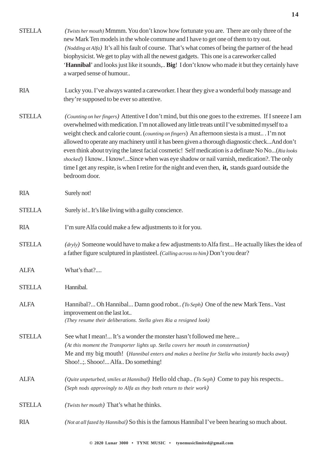| <b>STELLA</b> | (Twists her mouth) Mmmm. You don't know how fortunate you are. There are only three of the<br>new Mark Ten models in the whole commune and I have to get one of them to try out.<br>(Nodding at Alfa) It's all his fault of course. That's what comes of being the partner of the head<br>biophysicist. We get to play with all the newest gadgets. This one is a careworker called<br>'Hannibal' and looks just like it sounds, Big! I don't know who made it but they certainly have<br>a warped sense of humour                                                                                                                                                                                                              |
|---------------|---------------------------------------------------------------------------------------------------------------------------------------------------------------------------------------------------------------------------------------------------------------------------------------------------------------------------------------------------------------------------------------------------------------------------------------------------------------------------------------------------------------------------------------------------------------------------------------------------------------------------------------------------------------------------------------------------------------------------------|
| <b>RIA</b>    | Lucky you. I've always wanted a careworker. I hear they give a wonderful body massage and<br>they're supposed to be ever so attentive.                                                                                                                                                                                                                                                                                                                                                                                                                                                                                                                                                                                          |
| <b>STELLA</b> | (Counting on her fingers) Attentive I don't mind, but this one goes to the extremes. If I sneeze I am<br>overwhelmed with medication. I'm not allowed any little treats until I've submitted myself to a<br>weight check and calorie count. (counting on fingers) An afternoon siesta is a must I'm not<br>allowed to operate any machinery until it has been given a thorough diagnostic checkAnd don't<br>even think about trying the latest facial cosmetic! Self medication is a definate No No(Ria looks<br>shocked) I know I know!Since when was eye shadow or nail varnish, medication?. The only<br>time I get any respite, is when I retire for the night and even then, it, stands guard outside the<br>bedroom door. |
| <b>RIA</b>    | Surely not!                                                                                                                                                                                                                                                                                                                                                                                                                                                                                                                                                                                                                                                                                                                     |
| <b>STELLA</b> | Surely is! It's like living with a guilty conscience.                                                                                                                                                                                                                                                                                                                                                                                                                                                                                                                                                                                                                                                                           |
| <b>RIA</b>    | I'm sure Alfa could make a few adjustments to it for you.                                                                                                                                                                                                                                                                                                                                                                                                                                                                                                                                                                                                                                                                       |
| <b>STELLA</b> | (dryly) Someone would have to make a few adjustments to Alfa first He actually likes the idea of<br>a father figure sculptured in plastisteel. (Calling across to him) Don't you dear?                                                                                                                                                                                                                                                                                                                                                                                                                                                                                                                                          |
| <b>ALFA</b>   | What's that?                                                                                                                                                                                                                                                                                                                                                                                                                                                                                                                                                                                                                                                                                                                    |
| <b>STELLA</b> | Hannibal.                                                                                                                                                                                                                                                                                                                                                                                                                                                                                                                                                                                                                                                                                                                       |
| <b>ALFA</b>   | Hannibal? Oh Hannibal Damn good robot (To Seph) One of the new Mark Tens Vast<br>improvement on the last lot<br>(They resume their deliberations. Stella gives Ria a resigned look)                                                                                                                                                                                                                                                                                                                                                                                                                                                                                                                                             |
| <b>STELLA</b> | See what I mean! It's a wonder the monster hasn't followed me here<br>(At this moment the Transporter lights up. Stella covers her mouth in consternation)<br>Me and my big mouth! (Hannibal enters and makes a beeline for Stella who instantly backs away)<br>Shoo!;. Shooo! Alfa Do something!                                                                                                                                                                                                                                                                                                                                                                                                                               |
| <b>ALFA</b>   | <i>(Quite unpeturbed, smiles at Hannibal)</i> Hello old chap <i>(To Seph)</i> Come to pay his respects<br>(Seph nods approvingly to Alfa as they both return to their work)                                                                                                                                                                                                                                                                                                                                                                                                                                                                                                                                                     |
| <b>STELLA</b> | (Twists her mouth) That's what he thinks.                                                                                                                                                                                                                                                                                                                                                                                                                                                                                                                                                                                                                                                                                       |
| <b>RIA</b>    | (Not at all fazed by Hannibal) So this is the famous Hannibal I've been hearing so much about.                                                                                                                                                                                                                                                                                                                                                                                                                                                                                                                                                                                                                                  |
|               |                                                                                                                                                                                                                                                                                                                                                                                                                                                                                                                                                                                                                                                                                                                                 |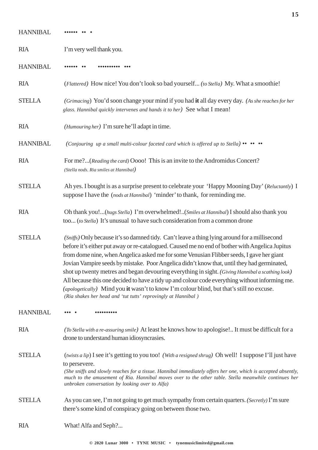| <b>HANNIBAL</b> |                                                                                                                                                                                                                                                                                                                                                                                                                                                                                                                                                                                                                                                                                                                                                                 |
|-----------------|-----------------------------------------------------------------------------------------------------------------------------------------------------------------------------------------------------------------------------------------------------------------------------------------------------------------------------------------------------------------------------------------------------------------------------------------------------------------------------------------------------------------------------------------------------------------------------------------------------------------------------------------------------------------------------------------------------------------------------------------------------------------|
| <b>RIA</b>      | I'm very well thank you.                                                                                                                                                                                                                                                                                                                                                                                                                                                                                                                                                                                                                                                                                                                                        |
| <b>HANNIBAL</b> |                                                                                                                                                                                                                                                                                                                                                                                                                                                                                                                                                                                                                                                                                                                                                                 |
| <b>RIA</b>      | (Flattered) How nice! You don't look so bad yourself (to Stella) My. What a smoothie!                                                                                                                                                                                                                                                                                                                                                                                                                                                                                                                                                                                                                                                                           |
| <b>STELLA</b>   | (Grimacing) You'd soon change your mind if you had it all day every day. (As she reaches for her<br>glass. Hannibal quickly intervenes and hands it to her) See what I mean!                                                                                                                                                                                                                                                                                                                                                                                                                                                                                                                                                                                    |
| <b>RIA</b>      | (Humouring her) I'm sure he'll adapt in time.                                                                                                                                                                                                                                                                                                                                                                                                                                                                                                                                                                                                                                                                                                                   |
| <b>HANNIBAL</b> | (Conjouring up a small multi-colour faceted card which is offered up to Stella) •• •• ••                                                                                                                                                                                                                                                                                                                                                                                                                                                                                                                                                                                                                                                                        |
| <b>RIA</b>      | For me?(Reading the card) Oooo! This is an invite to the Andromidus Concert?<br>(Stella nods. Ria smiles at Hannibal)                                                                                                                                                                                                                                                                                                                                                                                                                                                                                                                                                                                                                                           |
| <b>STELLA</b>   | Ah yes. I bought is as a surprise present to celebrate your 'Happy Mooning Day' (Reluctantly) I<br>suppose I have the (nods at Hannibal) 'minder' to thank, for reminding me.                                                                                                                                                                                                                                                                                                                                                                                                                                                                                                                                                                                   |
| <b>RIA</b>      | Oh thank you!(hugs Stella) I'm overwhelmed!(Smiles at Hannibal) I should also thank you<br>too (to Stella) It's unusual to have such consideration from a common drone                                                                                                                                                                                                                                                                                                                                                                                                                                                                                                                                                                                          |
| <b>STELLA</b>   | (Sniffs) Only because it's so damned tidy. Can't leave a thing lying around for a millisecond<br>before it's either put away or re-catalogued. Caused me no end of bother with Angelica Jupitus<br>from dome nine, when Angelica asked me for some Venusian Flibber seeds, I gave her giant<br>Jovian Vampire seeds by mistake. Poor Angelica didn't know that, until they had germinated,<br>shot up twenty metres and began devouring everything in sight. (Giving Hannibal a scathing look)<br>All because this one decided to have a tidy up and colour code everything without informing me.<br>(apologetically) Mind you it wasn't to know I'm colour blind, but that's still no excuse.<br>(Ria shakes her head and 'tut tutts' reprovingly at Hannibal) |
| <b>HANNIBAL</b> |                                                                                                                                                                                                                                                                                                                                                                                                                                                                                                                                                                                                                                                                                                                                                                 |
| <b>RIA</b>      | (To Stella with a re-assuring smile) At least he knows how to apologise! It must be difficult for a<br>drone to understand human idiosyncrasies.                                                                                                                                                                                                                                                                                                                                                                                                                                                                                                                                                                                                                |
| <b>STELLA</b>   | (twists a lip) I see it's getting to you too! (With a resigned shrug) Oh well! I suppose I'll just have<br>to persevere.<br>(She sniffs and slowly reaches for a tissue. Hannibal immediately offers her one, which is accepted absently,<br>much to the amusement of Ria. Hannibal moves over to the other table. Stella meanwhile continues her<br>unbroken conversation by looking over to Alfa)                                                                                                                                                                                                                                                                                                                                                             |
| <b>STELLA</b>   | As you can see, I'm not going to get much sympathy from certain quarters. (Secretly) I'm sure<br>there's some kind of conspiracy going on between those two.                                                                                                                                                                                                                                                                                                                                                                                                                                                                                                                                                                                                    |
| <b>RIA</b>      | What! Alfa and Seph?                                                                                                                                                                                                                                                                                                                                                                                                                                                                                                                                                                                                                                                                                                                                            |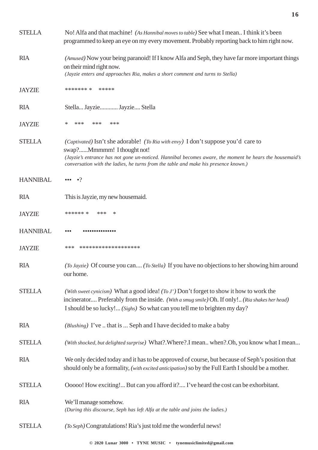| <b>STELLA</b>   | No! Alfa and that machine! (As Hannibal moves to table) See what I mean I think it's been<br>programmed to keep an eye on my every movement. Probably reporting back to him right now.                                                                                                                                          |
|-----------------|---------------------------------------------------------------------------------------------------------------------------------------------------------------------------------------------------------------------------------------------------------------------------------------------------------------------------------|
| <b>RIA</b>      | (Amused) Now your being paranoid! If I know Alfa and Seph, they have far more important things<br>on their mind right now.<br>(Jayzie enters and approaches Ria, makes a short comment and turns to Stella)                                                                                                                     |
| <b>JAYZIE</b>   | ******* *<br>*****                                                                                                                                                                                                                                                                                                              |
| <b>RIA</b>      | Stella Jayzie Jayzie Stella                                                                                                                                                                                                                                                                                                     |
| <b>JAYZIE</b>   | ***<br>***<br>***<br>∗                                                                                                                                                                                                                                                                                                          |
| <b>STELLA</b>   | <i>(Captivated)</i> Isn't she adorable! <i>(To Ria with envy)</i> I don't suppose you'd care to<br>swap?Mmmmm! I thought not!<br>(Jayzie's entrance has not gone un-noticed. Hannibal becomes aware, the moment he hears the housemaid's<br>conversation with the ladies, he turns from the table and make his presence known.) |
| <b>HANNIBAL</b> | $\bullet$ ?<br>$\bullet\bullet\bullet$                                                                                                                                                                                                                                                                                          |
| <b>RIA</b>      | This is Jayzie, my new house maid.                                                                                                                                                                                                                                                                                              |
| <b>JAYZIE</b>   | ****** * ***<br>$\ast$                                                                                                                                                                                                                                                                                                          |
| <b>HANNIBAL</b> |                                                                                                                                                                                                                                                                                                                                 |
| <b>JAYZIE</b>   | ***<br>*******************                                                                                                                                                                                                                                                                                                      |
| <b>RIA</b>      | (To Jayzie) Of course you can (To Stella) If you have no objections to her showing him around<br>our home.                                                                                                                                                                                                                      |
| <b>STELLA</b>   | (With sweet cynicism) What a good idea! (To J') Don't forget to show it how to work the<br>incinerator Preferably from the inside. (With a smug smile) Oh. If only! (Ria shakes her head)<br>I should be so lucky! (Sighs) So what can you tell me to brighten my day?                                                          |
| <b>RIA</b>      | (Blushing) I've  that is  Seph and I have decided to make a baby                                                                                                                                                                                                                                                                |
| <b>STELLA</b>   | (With shocked, but delighted surprise) What?.Where?.I mean when?.Oh, you know what I mean                                                                                                                                                                                                                                       |
| <b>RIA</b>      | We only decided today and it has to be approved of course, but because of Seph's position that<br>should only be a formality, (with excited anticipation) so by the Full Earth I should be a mother.                                                                                                                            |
| <b>STELLA</b>   | Ooooo! How exciting! But can you afford it? I've heard the cost can be exhorbitant.                                                                                                                                                                                                                                             |
| <b>RIA</b>      | We'll manage somehow.<br>(During this discourse, Seph has left Alfa at the table and joins the ladies.)                                                                                                                                                                                                                         |
| <b>STELLA</b>   | (To Seph) Congratulations! Ria's just told me the wonderful news!                                                                                                                                                                                                                                                               |

**© 2020 Lunar 3000 • TYNE MUSIC • tynemusiclimited@gmail.com**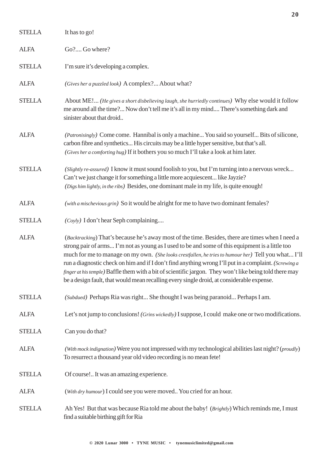| <b>STELLA</b> | It has to go!                                                                                                                                                                                                                                                                                                                                                                                                                                                                                                                                                                                                               |
|---------------|-----------------------------------------------------------------------------------------------------------------------------------------------------------------------------------------------------------------------------------------------------------------------------------------------------------------------------------------------------------------------------------------------------------------------------------------------------------------------------------------------------------------------------------------------------------------------------------------------------------------------------|
| <b>ALFA</b>   | Go? Go where?                                                                                                                                                                                                                                                                                                                                                                                                                                                                                                                                                                                                               |
| <b>STELLA</b> | I'm sure it's developing a complex.                                                                                                                                                                                                                                                                                                                                                                                                                                                                                                                                                                                         |
| <b>ALFA</b>   | (Gives her a puzzled look) A complex? About what?                                                                                                                                                                                                                                                                                                                                                                                                                                                                                                                                                                           |
| <b>STELLA</b> | About ME! (He gives a short disbelieving laugh, she hurriedly continues) Why else would it follow<br>me around all the time? Now don't tell me it's all in my mind There's something dark and<br>sinister about that droid                                                                                                                                                                                                                                                                                                                                                                                                  |
| <b>ALFA</b>   | (Patronisingly) Come come. Hannibal is only a machine You said so yourself Bits of silicone,<br>carbon fibre and synthetics His circuits may be a little hyper sensitive, but that's all.<br>(Gives her a comforting hug) If it bothers you so much I'll take a look at him later.                                                                                                                                                                                                                                                                                                                                          |
| <b>STELLA</b> | (Slightly re-assured) I know it must sound foolish to you, but I'm turning into a nervous wreck<br>Can't we just change it for something a little more acquiescent like Jayzie?<br>(Digs him lightly, in the ribs) Besides, one dominant male in my life, is quite enough!                                                                                                                                                                                                                                                                                                                                                  |
| <b>ALFA</b>   | (with a mischevious grin) So it would be alright for me to have two dominant females?                                                                                                                                                                                                                                                                                                                                                                                                                                                                                                                                       |
| <b>STELLA</b> | $(Coyly)$ I don't hear Seph complaining                                                                                                                                                                                                                                                                                                                                                                                                                                                                                                                                                                                     |
| <b>ALFA</b>   | (Backtracking) That's because he's away most of the time. Besides, there are times when I need a<br>strong pair of arms I'm not as young as I used to be and some of this equipment is a little too<br>much for me to manage on my own. (She looks crestfallen, he tries to humour her) Tell you what I'll<br>run a diagnostic check on him and if I don't find anything wrong I'll put in a complaint. (Screwing a<br>finger at his temple) Baffle them with a bit of scientific jargon. They won't like being told there may<br>be a design fault, that would mean recalling every single droid, at considerable expense. |
| <b>STELLA</b> | (Subdued) Perhaps Ria was right She thought I was being paranoid Perhaps I am.                                                                                                                                                                                                                                                                                                                                                                                                                                                                                                                                              |
| <b>ALFA</b>   | Let's not jump to conclusions! (Grins wickedly) I suppose, I could make one or two modifications.                                                                                                                                                                                                                                                                                                                                                                                                                                                                                                                           |
| <b>STELLA</b> | Can you do that?                                                                                                                                                                                                                                                                                                                                                                                                                                                                                                                                                                                                            |
| <b>ALFA</b>   | (With mock indignation) Were you not impressed with my technological abilities last night? (proudly)<br>To resurrect a thousand year old video recording is no mean fete!                                                                                                                                                                                                                                                                                                                                                                                                                                                   |
| <b>STELLA</b> | Of course! It was an amazing experience.                                                                                                                                                                                                                                                                                                                                                                                                                                                                                                                                                                                    |
| <b>ALFA</b>   | (With dry humour) I could see you were moved You cried for an hour.                                                                                                                                                                                                                                                                                                                                                                                                                                                                                                                                                         |
| <b>STELLA</b> | Ah Yes! But that was because Ria told me about the baby! (Brightly) Which reminds me, I must<br>find a suitable birthing gift for Ria                                                                                                                                                                                                                                                                                                                                                                                                                                                                                       |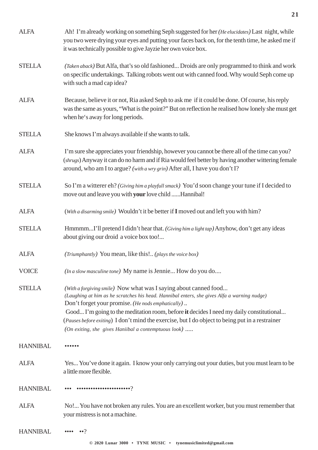| <b>ALFA</b>     | Ah! I'm already working on something Seph suggested for her (He elucidates) Last night, while<br>you two were drying your eyes and putting your faces back on, for the tenth time, he asked me if<br>it was technically possible to give Jayzie her own voice box.                                                                                                                                                                                                         |
|-----------------|----------------------------------------------------------------------------------------------------------------------------------------------------------------------------------------------------------------------------------------------------------------------------------------------------------------------------------------------------------------------------------------------------------------------------------------------------------------------------|
| <b>STELLA</b>   | (Taken aback) But Alfa, that's so old fashioned Droids are only programmed to think and work<br>on specific undertakings. Talking robots went out with canned food. Why would Seph come up<br>with such a mad cap idea?                                                                                                                                                                                                                                                    |
| <b>ALFA</b>     | Because, believe it or not, Ria asked Seph to ask me if it could be done. Of course, his reply<br>was the same as yours, "What is the point?" But on reflection he realised how lonely she must get<br>when he's away for long periods.                                                                                                                                                                                                                                    |
| <b>STELLA</b>   | She knows I'm always available if she wants to talk.                                                                                                                                                                                                                                                                                                                                                                                                                       |
| <b>ALFA</b>     | I'm sure she appreciates your friendship, however you cannot be there all of the time can you?<br>(shrugs) Anyway it can do no harm and if Ria would feel better by having another wittering female<br>around, who am I to argue? (with a wry grin) After all, I have you don't I?                                                                                                                                                                                         |
| <b>STELLA</b>   | So I'm a witterer eh? (Giving him a playfull smack) You'd soon change your tune if I decided to<br>move out and leave you with your love child  Hannibal!                                                                                                                                                                                                                                                                                                                  |
| <b>ALFA</b>     | (With a disarming smile) Wouldn't it be better if I moved out and left you with him?                                                                                                                                                                                                                                                                                                                                                                                       |
| <b>STELLA</b>   | HmmmmI'll pretend I didn't hear that. (Giving him a light tap) Anyhow, don't get any ideas<br>about giving our droid a voice box too!                                                                                                                                                                                                                                                                                                                                      |
| <b>ALFA</b>     | (Triumphantly) You mean, like this! (plays the voice box)                                                                                                                                                                                                                                                                                                                                                                                                                  |
| <b>VOICE</b>    | (In a slow masculine tone) My name is Jennie How do you do                                                                                                                                                                                                                                                                                                                                                                                                                 |
| <b>STELLA</b>   | (With a forgiving smile) Now what was I saying about canned food<br>(Laughing at him as he scratches his head. Hannibal enters, she gives Alfa a warning nudge)<br>Don't forget your promise. (He nods emphatically)<br>Good I'm going to the meditation room, before it decides I need my daily constitutional<br>(Pauses before exiting) I don't mind the exercise, but I do object to being put in a restrainer<br>(On exiting, she gives Haniibal a contemptuous look) |
| <b>HANNIBAL</b> |                                                                                                                                                                                                                                                                                                                                                                                                                                                                            |
| <b>ALFA</b>     | Yes You've done it again. I know your only carrying out your duties, but you must learn to be<br>a little more flexible.                                                                                                                                                                                                                                                                                                                                                   |
| <b>HANNIBAL</b> |                                                                                                                                                                                                                                                                                                                                                                                                                                                                            |
| <b>ALFA</b>     | No! You have not broken any rules. You are an excellent worker, but you must remember that<br>your mistress is not a machine.                                                                                                                                                                                                                                                                                                                                              |
| <b>HANNIBAL</b> |                                                                                                                                                                                                                                                                                                                                                                                                                                                                            |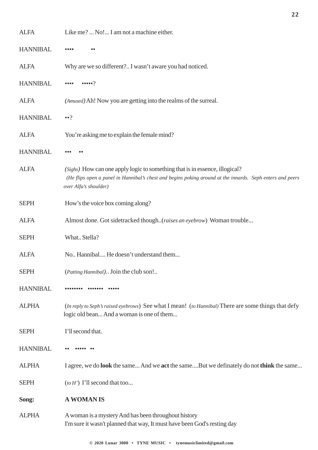| <b>ALFA</b>     | Like me?  No! I am not a machine either.                                                                                                                                                                          |
|-----------------|-------------------------------------------------------------------------------------------------------------------------------------------------------------------------------------------------------------------|
| <b>HANNIBAL</b> |                                                                                                                                                                                                                   |
| <b>ALFA</b>     | Why are we so different? I wasn't aware you had noticed.                                                                                                                                                          |
| <b>HANNIBAL</b> | $\bullet \bullet \bullet \bullet \circ$                                                                                                                                                                           |
| <b>ALFA</b>     | (Amused) Ah! Now you are getting into the realms of the surreal.                                                                                                                                                  |
| <b>HANNIBAL</b> | $\bullet \bullet ?$                                                                                                                                                                                               |
| <b>ALFA</b>     | You're asking me to explain the female mind?                                                                                                                                                                      |
| <b>HANNIBAL</b> |                                                                                                                                                                                                                   |
| <b>ALFA</b>     | (Sighs) How can one apply logic to something that is in essence, illogical?<br>(He flips open a panel in Hannibal's chest and begins poking around at the innards. Seph enters and peers<br>over Alfa's shoulder) |
| <b>SEPH</b>     | How's the voice box coming along?                                                                                                                                                                                 |
| <b>ALFA</b>     | Almost done. Got sidetracked though(raises an eyebrow) Woman trouble                                                                                                                                              |
| <b>SEPH</b>     | What Stella?                                                                                                                                                                                                      |
| <b>ALFA</b>     | No., Hannibal, He doesn't understand them                                                                                                                                                                         |
| <b>SEPH</b>     | (Patting Hannibal) Join the club son!                                                                                                                                                                             |
| <b>HANNIBAL</b> |                                                                                                                                                                                                                   |
| <b>ALPHA</b>    | (In reply to Seph's raised eyebrows) See what I mean! (to Hannibal) There are some things that defy<br>logic old bean And a woman is one of them                                                                  |
| <b>SEPH</b>     | I'll second that.                                                                                                                                                                                                 |
| <b>HANNIBAL</b> |                                                                                                                                                                                                                   |
| <b>ALPHA</b>    | I agree, we do <b>look</b> the same And we <b>act</b> the sameBut we definately do not <b>think</b> the same                                                                                                      |
| <b>SEPH</b>     | $(to H')$ I'll second that too                                                                                                                                                                                    |
| Song:           | <b>A WOMAN IS</b>                                                                                                                                                                                                 |
| <b>ALPHA</b>    | A woman is a mystery And has been throughout history<br>I'm sure it wasn't planned that way, It must have been God's resting day                                                                                  |

**© 2020 Lunar 3000 • TYNE MUSIC • tynemusiclimited@gmail.com**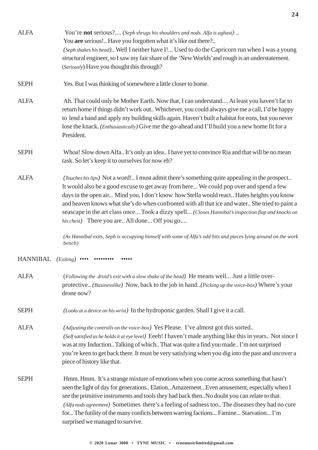| <b>ALFA</b> | You're not serious? (Seph shrugs his shoulders and nods. Alfa is aghast)<br>You are serious! Have you forgotten what it's like out there?<br>(Seph shakes his head) Well I neither have I! Used to do the Capricorn run when I was a young<br>structural engineer, so I saw my fair share of the 'New Worlds' and rough is an understatement.<br>(Seriously) Have you thought this through?                                                                                                                                                   |
|-------------|-----------------------------------------------------------------------------------------------------------------------------------------------------------------------------------------------------------------------------------------------------------------------------------------------------------------------------------------------------------------------------------------------------------------------------------------------------------------------------------------------------------------------------------------------|
| <b>SEPH</b> | Yes. But I was thinking of somewhere a little closer to home.                                                                                                                                                                                                                                                                                                                                                                                                                                                                                 |
| <b>ALFA</b> | Ah. That could only be Mother Earth. Now that, I can understand At least you haven't far to<br>return home if things didn't work out Whichever, you could always give me a call, I'd be happy<br>to lend a hand and apply my building skills again. Haven't built a habitat for eons, but you never<br>lose the knack. (Enthusiastically) Give me the go-ahead and I'll build you a new home fit for a<br>President.                                                                                                                          |
| <b>SEPH</b> | Whoa! Slow down Alfa It's only an idea I have yet to convince Ria and that will be no mean<br>task. So let's keep it to ourselves for now eh?                                                                                                                                                                                                                                                                                                                                                                                                 |
| <b>ALFA</b> | (Touches his lips) Not a word! I must admit there's something quite appealing in the prospect<br>It would also be a good excuse to get away from here We could pop over and spend a few<br>days in the open air Mind you, I don't know how Stella would react Hates heights you know<br>and heaven knows what she's do when confronted with all that ice and water She tried to paint a<br>seascape in the art class once Took a dizzy spell (Closes Hannibal's inspection flap and knocks on<br>his chest) There you are All done Off you go |
|             | (As Hannibal exits, Seph is occupying himself with some of Alfa's odd bits and pieces lying around on the work<br>bench)                                                                                                                                                                                                                                                                                                                                                                                                                      |
| HANNIBAL    | $(Exiting)$ ••••                                                                                                                                                                                                                                                                                                                                                                                                                                                                                                                              |
| <b>ALFA</b> | (Following the droid's exit with a slow shake of the head) He means well Just a little over-<br>protective (Businesslike) Now, back to the job in hand (Picking up the voice-box) Where's your<br>drone now?                                                                                                                                                                                                                                                                                                                                  |
| <b>SEPH</b> | (Looks at a device on his wrist) In the hydroponic garden. Shall I give it a call.                                                                                                                                                                                                                                                                                                                                                                                                                                                            |
| <b>ALFA</b> | (Adjusting the controlls on the voice-box) Yes Please. I've almost got this sorted<br>(Self satisfied as he holds it at eye level) Eeeh! I haven't made anything like this in years Not since I<br>was at my Induction Talking of which That was quite a find you made I'm not surprised<br>you're keen to get back there. It must be very satisfying when you dig into the past and uncover a<br>piece of history like that.                                                                                                                 |
| <b>SEPH</b> | Hmm. Hmm. It's a strange mixture of emotions when you come across something that hasn't<br>seen the light of day for generations Elation Amazement Even amusement, especially when I<br>see the primitive instruments and tools they had back thenNo doubt you can relate to that.<br>(Alfa nods agreement) Sometimes there's a feeling of sadness too The diseases they had no cure<br>for The futility of the many conficts between warring factions Famine Starvation I'm<br>surprised we managed to survive.                              |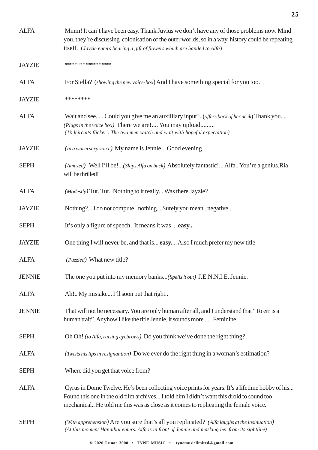| <b>ALFA</b>   | Mmm! It can't have been easy. Thank Juvius we don't have any of those problems now. Mind<br>you, they're discussing colonisation of the outer worlds, so in a way, history could be repeating<br>itself. (Jayzie enters bearing a gift of flowers which are handed to Alfa)         |
|---------------|-------------------------------------------------------------------------------------------------------------------------------------------------------------------------------------------------------------------------------------------------------------------------------------|
| <b>JAYZIE</b> | **** **********                                                                                                                                                                                                                                                                     |
| <b>ALFA</b>   | For Stella? (showing the new voice-box) And I have something special for you too.                                                                                                                                                                                                   |
| <b>JAYZIE</b> | ********                                                                                                                                                                                                                                                                            |
| <b>ALFA</b>   | Wait and see Could you give me an auxilliary input?(offers back of her neck) Thank you<br>(Plugs in the voice box) There we are! You may upload<br>(J's lcircuits flicker. The two men watch and wait with hopeful expectation)                                                     |
| <b>JAYZIE</b> | (In a warm sexy voice) My name is Jennie Good evening.                                                                                                                                                                                                                              |
| <b>SEPH</b>   | (Amazed) Well I'll be!(Slaps Alfa on back) Absolutely fantastic! Alfa You're a genius. Ria<br>will be thrilled!                                                                                                                                                                     |
| <b>ALFA</b>   | (Modestly) Tut. Tut Nothing to it really Was there Jayzie?                                                                                                                                                                                                                          |
| <b>JAYZIE</b> | Nothing? I do not compute nothing Surely you mean negative                                                                                                                                                                                                                          |
| <b>SEPH</b>   | It's only a figure of speech. It means it was  easy                                                                                                                                                                                                                                 |
| <b>JAYZIE</b> | One thing I will <b>never</b> be, and that is <b>easy.</b> Also I much prefer my new title                                                                                                                                                                                          |
| <b>ALFA</b>   | ( <i>Puzzled</i> ) What new title?                                                                                                                                                                                                                                                  |
| <b>JENNIE</b> | The one you put into my memory banks(Spells it out) J.E.N.N.I.E. Jennie.                                                                                                                                                                                                            |
| <b>ALFA</b>   | Ah! My mistake I'll soon put that right                                                                                                                                                                                                                                             |
| <b>JENNIE</b> | That will not be necessary. You are only human after all, and I understand that "To err is a<br>human trait". Anyhow I like the title Jennie, it sounds more  Feminine.                                                                                                             |
| <b>SEPH</b>   | Oh Oh! (to Alfa, raising eyebrows) Do you think we've done the right thing?                                                                                                                                                                                                         |
| <b>ALFA</b>   | (Twists his lips in resignantion) Do we ever do the right thing in a woman's estimation?                                                                                                                                                                                            |
| <b>SEPH</b>   | Where did you get that voice from?                                                                                                                                                                                                                                                  |
| <b>ALFA</b>   | Cyrus in Dome Twelve. He's been collecting voice prints for years. It's a lifetime hobby of his<br>Found this one in the old film archives I told him I didn't want this droid to sound too<br>mechanical He told me this was as close as it comes to replicating the female voice. |
| <b>SEPH</b>   | (With apprehension) Are you sure that's all you replicated? (Alfa laughs at the insinuation)<br>(At this moment Hannibal enters. Alfa is in front of Jennie and masking her from its sightline)                                                                                     |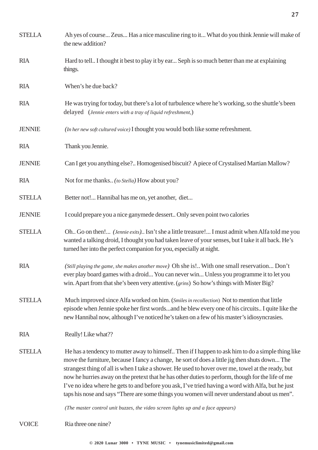| <b>STELLA</b> | Ah yes of course Zeus Has a nice masculine ring to it What do you think Jennie will make of<br>the new addition?                                                                                                                                                                                                                                                                                                                                                                                                                                                                                                   |
|---------------|--------------------------------------------------------------------------------------------------------------------------------------------------------------------------------------------------------------------------------------------------------------------------------------------------------------------------------------------------------------------------------------------------------------------------------------------------------------------------------------------------------------------------------------------------------------------------------------------------------------------|
| <b>RIA</b>    | Hard to tell I thought it best to play it by ear Seph is so much better than me at explaining<br>things.                                                                                                                                                                                                                                                                                                                                                                                                                                                                                                           |
| <b>RIA</b>    | When's he due back?                                                                                                                                                                                                                                                                                                                                                                                                                                                                                                                                                                                                |
| <b>RIA</b>    | He was trying for today, but there's a lot of turbulence where he's working, so the shuttle's been<br>delayed (Jennie enters with a tray of liquid refreshment,)                                                                                                                                                                                                                                                                                                                                                                                                                                                   |
| <b>JENNIE</b> | (In her new soft cultured voice) I thought you would both like some refreshment.                                                                                                                                                                                                                                                                                                                                                                                                                                                                                                                                   |
| <b>RIA</b>    | Thank you Jennie.                                                                                                                                                                                                                                                                                                                                                                                                                                                                                                                                                                                                  |
| <b>JENNIE</b> | Can I get you anything else? Homogenised biscuit? A piece of Crystalised Martian Mallow?                                                                                                                                                                                                                                                                                                                                                                                                                                                                                                                           |
| <b>RIA</b>    | Not for me thanks (to Stella) How about you?                                                                                                                                                                                                                                                                                                                                                                                                                                                                                                                                                                       |
| <b>STELLA</b> | Better not! Hannibal has me on, yet another, diet                                                                                                                                                                                                                                                                                                                                                                                                                                                                                                                                                                  |
| <b>JENNIE</b> | I could prepare you a nice ganymede dessert Only seven point two calories                                                                                                                                                                                                                                                                                                                                                                                                                                                                                                                                          |
| <b>STELLA</b> | Oh Go on then! (Jennie exits) Isn't she a little treasure! I must admit when Alfa told me you<br>wanted a talking droid, I thought you had taken leave of your senses, but I take it all back. He's<br>turned her into the perfect companion for you, especially at night.                                                                                                                                                                                                                                                                                                                                         |
| <b>RIA</b>    | (Still playing the game, she makes another move) Oh she is! With one small reservation Don't<br>ever play board games with a droid You can never win Unless you programme it to let you<br>win. Apart from that she's been very attentive. (grins) So how's things with Mister Big?                                                                                                                                                                                                                                                                                                                                |
| <b>STELLA</b> | Much improved since Alfa worked on him. (Smiles in recollection) Not to mention that little<br>episode when Jennie spoke her first wordsand he blew every one of his circuits I quite like the<br>new Hannibal now, although I've noticed he's taken on a few of his master's idiosyncrasies.                                                                                                                                                                                                                                                                                                                      |
| <b>RIA</b>    | Really! Like what??                                                                                                                                                                                                                                                                                                                                                                                                                                                                                                                                                                                                |
| <b>STELLA</b> | He has a tendency to mutter away to himself Then if I happen to ask him to do a simple thing like<br>move the furniture, because I fancy a change, he sort of does a little jig then shuts down The<br>strangest thing of all is when I take a shower. He used to hover over me, towel at the ready, but<br>now he hurries away on the pretext that he has other duties to perform, though for the life of me<br>I've no idea where he gets to and before you ask, I've tried having a word with Alfa, but he just<br>taps his nose and says "There are some things you women will never understand about us men". |
|               | (The master control unit buzzes, the video screen lights up and a face appears)                                                                                                                                                                                                                                                                                                                                                                                                                                                                                                                                    |

VOICE Ria three one nine?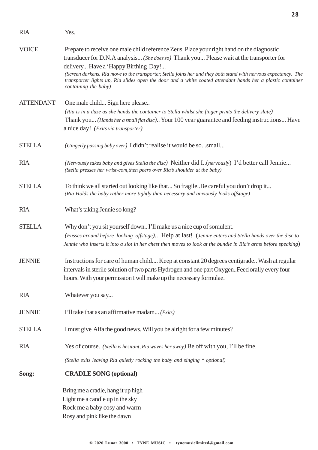| <b>RIA</b>       | Yes.                                                                                                                                                                                                                                                                                                                                                                                                                                                                                   |
|------------------|----------------------------------------------------------------------------------------------------------------------------------------------------------------------------------------------------------------------------------------------------------------------------------------------------------------------------------------------------------------------------------------------------------------------------------------------------------------------------------------|
| <b>VOICE</b>     | Prepare to receive one male child reference Zeus. Place your right hand on the diagnostic<br>transducer for D.N.A analysis (She does so) Thank you Please wait at the transporter for<br>delivery Have a 'Happy Birthing Day!<br>(Screen darkens. Ria move to the transporter, Stella joins her and they both stand with nervous expectancy. The<br>transporter lights up, Ria slides open the door and a white coated attendant hands her a plastic container<br>containing the baby) |
| <b>ATTENDANT</b> | One male child Sign here please<br>(Ria is in a daze as she hands the container to Stella whilst she finger prints the delivery slate)<br>Thank you (Hands her a small flat disc) Your 100 year guarantee and feeding instructions Have<br>a nice day! (Exits via transporter)                                                                                                                                                                                                         |
| <b>STELLA</b>    | (Gingerly passing baby over) I didn't realise it would be sosmall                                                                                                                                                                                                                                                                                                                                                                                                                      |
| <b>RIA</b>       | (Nervously takes baby and gives Stella the disc) Neither did I. (nervously) I'd better call Jennie<br>(Stella presses her wrist-com, then peers over Ria's shoulder at the baby)                                                                                                                                                                                                                                                                                                       |
| <b>STELLA</b>    | To think we all started out looking like that So fragileBe careful you don't drop it<br>(Ria Holds the baby rather more tightly than necessary and anxiously looks offstage)                                                                                                                                                                                                                                                                                                           |
| <b>RIA</b>       | What's taking Jennie so long?                                                                                                                                                                                                                                                                                                                                                                                                                                                          |
| <b>STELLA</b>    | Why don't you sit yourself down I'll make us a nice cup of somulent.<br>(Fusses around before looking offstage) Help at last! (Jennie enters and Stella hands over the disc to<br>Jennie who inserts it into a slot in her chest then moves to look at the bundle in Ria's arms before speaking)                                                                                                                                                                                       |
| <b>JENNIE</b>    | Instructions for care of human child Keep at constant 20 degrees centigrade Wash at regular<br>intervals in sterile solution of two parts Hydrogen and one part Oxygen. Feed orally every four<br>hours. With your permission I will make up the necessary formulae.                                                                                                                                                                                                                   |
| <b>RIA</b>       | Whatever you say                                                                                                                                                                                                                                                                                                                                                                                                                                                                       |
| <b>JENNIE</b>    | I'll take that as an affirmative madam (Exits)                                                                                                                                                                                                                                                                                                                                                                                                                                         |
| <b>STELLA</b>    | I must give Alfa the good news. Will you be alright for a few minutes?                                                                                                                                                                                                                                                                                                                                                                                                                 |
| <b>RIA</b>       | Yes of course. (Stella is hesitant, Ria waves her away) Be off with you, I'll be fine.                                                                                                                                                                                                                                                                                                                                                                                                 |
|                  | (Stella exits leaving Ria quietly rocking the baby and singing * optional)                                                                                                                                                                                                                                                                                                                                                                                                             |
| Song:            | <b>CRADLE SONG (optional)</b>                                                                                                                                                                                                                                                                                                                                                                                                                                                          |
|                  | Bring me a cradle, hang it up high<br>Light me a candle up in the sky<br>Rock me a baby cosy and warm<br>Rosy and pink like the dawn                                                                                                                                                                                                                                                                                                                                                   |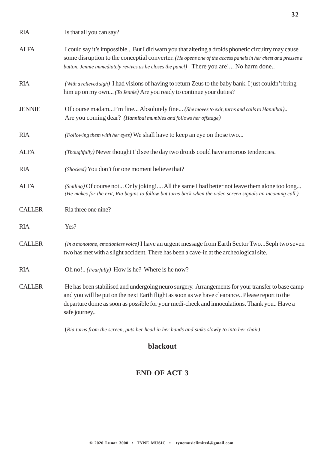| <b>RIA</b>    | Is that all you can say?                                                                                                                                                                                                                                                                                         |
|---------------|------------------------------------------------------------------------------------------------------------------------------------------------------------------------------------------------------------------------------------------------------------------------------------------------------------------|
| <b>ALFA</b>   | I could say it's impossible But I did warn you that altering a droids phonetic circuitry may cause<br>some disruption to the conceptial converter. (He opens one of the access panels in her chest and presses a<br>button. Jennie immediately revives as he closes the panel) There you are! No harm done       |
| <b>RIA</b>    | (With a relieved sigh) I had visions of having to return Zeus to the baby bank. I just couldn't bring<br>him up on my own (To Jennie) Are you ready to continue your duties?                                                                                                                                     |
| <b>JENNIE</b> | Of course madamI'm fine Absolutely fine (She moves to exit, turns and calls to Hannibal)<br>Are you coming dear? (Hannibal mumbles and follows her offstage)                                                                                                                                                     |
| <b>RIA</b>    | (Following them with her eyes) We shall have to keep an eye on those two                                                                                                                                                                                                                                         |
| <b>ALFA</b>   | (Thoughfully) Never thought I'd see the day two droids could have amorous tendencies.                                                                                                                                                                                                                            |
| <b>RIA</b>    | (Shocked) You don't for one moment believe that?                                                                                                                                                                                                                                                                 |
| <b>ALFA</b>   | (Smiling) Of course not Only joking! All the same I had better not leave them alone too long<br>(He makes for the exit, Ria begins to follow but turns back when the video screen signals an incoming call.)                                                                                                     |
| <b>CALLER</b> | Ria three one nine?                                                                                                                                                                                                                                                                                              |
| <b>RIA</b>    | Yes?                                                                                                                                                                                                                                                                                                             |
| <b>CALLER</b> | (In a monotone, emotionless voice) I have an urgent message from Earth Sector TwoSeph two seven<br>two has met with a slight accident. There has been a cave-in at the archeological site.                                                                                                                       |
| <b>RIA</b>    | Oh no! (Fearfully) How is he? Where is he now?                                                                                                                                                                                                                                                                   |
| <b>CALLER</b> | He has been stabilised and undergoing neuro surgery. Arrangements for your transfer to base camp<br>and you will be put on the next Earth flight as soon as we have clearance Please report to the<br>departure dome as soon as possible for your medi-check and innoculations. Thank you Have a<br>safe journey |

(*Ria turns from the screen, puts her head in her hands and sinks slowly to into her chair)*

#### **blackout**

#### **END OF ACT 3**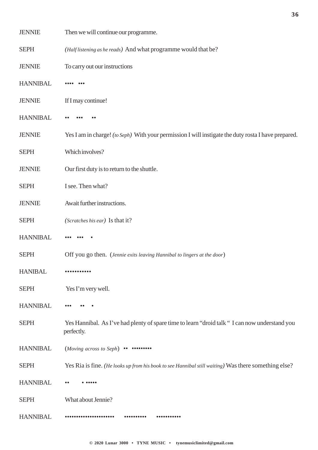| <b>JENNIE</b>   | Then we will continue our programme.                                                                         |
|-----------------|--------------------------------------------------------------------------------------------------------------|
| <b>SEPH</b>     | (Half listening as he reads) And what programme would that be?                                               |
| <b>JENNIE</b>   | To carry out our instructions                                                                                |
| <b>HANNIBAL</b> |                                                                                                              |
| <b>JENNIE</b>   | If I may continue!                                                                                           |
| <b>HANNIBAL</b> |                                                                                                              |
| <b>JENNIE</b>   | Yes I am in charge! (to Seph) With your permission I will instigate the duty rosta I have prepared.          |
| <b>SEPH</b>     | Which involves?                                                                                              |
| <b>JENNIE</b>   | Our first duty is to return to the shuttle.                                                                  |
| <b>SEPH</b>     | I see. Then what?                                                                                            |
| <b>JENNIE</b>   | Await further instructions.                                                                                  |
| <b>SEPH</b>     | (Scratches his ear) Is that it?                                                                              |
| <b>HANNIBAL</b> |                                                                                                              |
| <b>SEPH</b>     | Off you go then. (Jennie exits leaving Hannibal to lingers at the door)                                      |
| <b>HANIBAL</b>  |                                                                                                              |
| <b>SEPH</b>     | Yes I'm very well.                                                                                           |
| <b>HANNIBAL</b> |                                                                                                              |
| <b>SEPH</b>     | Yes Hannibal. As I've had plenty of spare time to learn "droid talk " I can now understand you<br>perfectly. |
| <b>HANNIBAL</b> | $(Moving \ across \ to \ Seph) \ \cdots \ \cdots$                                                            |
| <b>SEPH</b>     | Yes Ria is fine. (He looks up from his book to see Hannibal still waiting) Was there something else?         |
| <b>HANNIBAL</b> | $\bullet$                                                                                                    |
| <b>SEPH</b>     | What about Jennie?                                                                                           |
| <b>HANNIBAL</b> |                                                                                                              |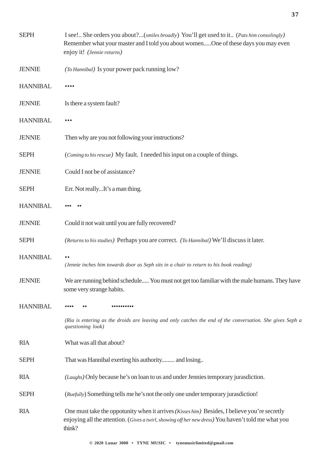| <b>SEPH</b>     | I see! She orders you about?(smiles broadly) You'll get used to it (Pats him consolingly)<br>Remember what your master and I told you about womenOne of these days you may even<br>enjoy it! (Jennie returns)        |
|-----------------|----------------------------------------------------------------------------------------------------------------------------------------------------------------------------------------------------------------------|
| <b>JENNIE</b>   | (To Hannibal) Is your power pack running low?                                                                                                                                                                        |
| <b>HANNIBAL</b> |                                                                                                                                                                                                                      |
| <b>JENNIE</b>   | Is there a system fault?                                                                                                                                                                                             |
| <b>HANNIBAL</b> |                                                                                                                                                                                                                      |
| <b>JENNIE</b>   | Then why are you not following your instructions?                                                                                                                                                                    |
| <b>SEPH</b>     | (Coming to his rescue) My fault. I needed his input on a couple of things.                                                                                                                                           |
| <b>JENNIE</b>   | Could I not be of assistance?                                                                                                                                                                                        |
| <b>SEPH</b>     | Err. Not reallyIt's a man thing.                                                                                                                                                                                     |
| <b>HANNIBAL</b> |                                                                                                                                                                                                                      |
| <b>JENNIE</b>   | Could it not wait until you are fully recovered?                                                                                                                                                                     |
| <b>SEPH</b>     | (Returns to his studies) Perhaps you are correct. (To Hannibal) We'll discuss it later.                                                                                                                              |
| <b>HANNIBAL</b> | $\bullet$<br>(Jennie inches him towards door as Seph sits in a chair to return to his book reading)                                                                                                                  |
| <b>JENNIE</b>   | We are running behind schedule You must not get too familiar with the male humans. They have<br>some very strange habits.                                                                                            |
| <b>HANNIBAL</b> | .                                                                                                                                                                                                                    |
|                 | (Ria is entering as the droids are leaving and only catches the end of the conversation. She gives Seph a<br>questioning look)                                                                                       |
| <b>RIA</b>      | What was all that about?                                                                                                                                                                                             |
| <b>SEPH</b>     | That was Hannibal exerting his authority and losing                                                                                                                                                                  |
| <b>RIA</b>      | (Laughs) Only because he's on loan to us and under Jennies temporary jurasdiction.                                                                                                                                   |
| <b>SEPH</b>     | (Ruefully) Something tells me he's not the only one under temporary jurasdiction!                                                                                                                                    |
| <b>RIA</b>      | One must take the oppotunity when it arrives <i>(Kisses him)</i> Besides, I believe you're secretly<br>enjoying all the attention. (Gives a twirl, showing off her new dress) You haven't told me what you<br>think? |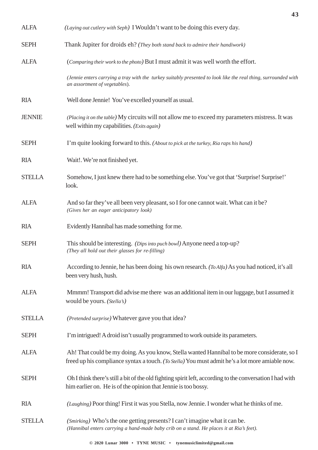| <b>ALFA</b>   | (Laying out cutlery with Seph) I Wouldn't want to be doing this every day.                                                                                                                      |
|---------------|-------------------------------------------------------------------------------------------------------------------------------------------------------------------------------------------------|
| <b>SEPH</b>   | Thank Jupiter for droids eh? (They both stand back to admire their handiwork)                                                                                                                   |
| <b>ALFA</b>   | (Comparing their work to the photo) But I must admit it was well worth the effort.                                                                                                              |
|               | (Jennie enters carrying a tray with the turkey suitably presented to look like the real thing, surrounded with<br>an assortment of vegetables).                                                 |
| <b>RIA</b>    | Well done Jennie! You've excelled yourself as usual.                                                                                                                                            |
| <b>JENNIE</b> | (Placing it on the table) My circuits will not allow me to exceed my parameters mistress. It was<br>well within my capabilities. (Exits again)                                                  |
| <b>SEPH</b>   | I'm quite looking forward to this. (About to pick at the turkey, Ria raps his hand)                                                                                                             |
| <b>RIA</b>    | Wait!. We're not finished yet.                                                                                                                                                                  |
| <b>STELLA</b> | Somehow, I just knew there had to be something else. You've got that 'Surprise! Surprise!'<br>look.                                                                                             |
| <b>ALFA</b>   | And so far they've all been very pleasant, so I for one cannot wait. What can it be?<br>(Gives her an eager anticipatory look)                                                                  |
| <b>RIA</b>    | Evidently Hannibal has made something for me.                                                                                                                                                   |
| <b>SEPH</b>   | This should be interesting. (Dips into puch bowl) Anyone need a top-up?<br>(They all hold out their glasses for re-filling)                                                                     |
| <b>RIA</b>    | According to Jennie, he has been doing his own research. (To Alfa) As you had noticed, it's all<br>been very hush, hush.                                                                        |
| <b>ALFA</b>   | Mmmm! Transport did advise me there was an additional item in our luggage, but I assumed it<br>would be yours. (Stella's)                                                                       |
| <b>STELLA</b> | (Pretended surprise) Whatever gave you that idea?                                                                                                                                               |
| <b>SEPH</b>   | I'm intrigued! A droid isn't usually programmed to work outside its parameters.                                                                                                                 |
| <b>ALFA</b>   | Ah! That could be my doing. As you know, Stella wanted Hannibal to be more considerate, so I<br>freed up his compliance syntax a touch. (To Stella) You must admit he's a lot more amiable now. |
| <b>SEPH</b>   | Oh I think there's still a bit of the old fighting spirit left, according to the conversation I had with<br>him earlier on. He is of the opinion that Jennie is too bossy.                      |
| <b>RIA</b>    | (Laughing) Poor thing! First it was you Stella, now Jennie. I wonder what he thinks of me.                                                                                                      |
| <b>STELLA</b> | (Smirking) Who's the one getting presents? I can't imagine what it can be.<br>(Hannibal enters carrying a hand-made baby crib on a stand. He places it at Ria's feet).                          |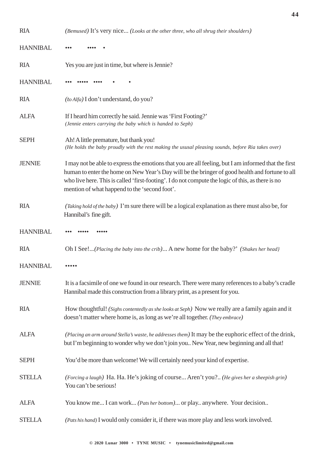| <b>RIA</b>      | (Bemused) It's very nice (Looks at the other three, who all shrug their shoulders)                                                                                                                                                                                                                                                                            |
|-----------------|---------------------------------------------------------------------------------------------------------------------------------------------------------------------------------------------------------------------------------------------------------------------------------------------------------------------------------------------------------------|
| <b>HANNIBAL</b> |                                                                                                                                                                                                                                                                                                                                                               |
| <b>RIA</b>      | Yes you are just in time, but where is Jennie?                                                                                                                                                                                                                                                                                                                |
| <b>HANNIBAL</b> |                                                                                                                                                                                                                                                                                                                                                               |
| <b>RIA</b>      | (to Alfa) I don't understand, do you?                                                                                                                                                                                                                                                                                                                         |
| <b>ALFA</b>     | If I heard him correctly he said. Jennie was 'First Footing?'<br>(Jennie enters carrying the baby which is handed to Seph)                                                                                                                                                                                                                                    |
| <b>SEPH</b>     | Ah! A little premature, but thank you!<br>(He holds the baby proudly with the rest making the ususal pleasing sounds, before Ria takes over)                                                                                                                                                                                                                  |
| <b>JENNIE</b>   | I may not be able to express the emotions that you are all feeling, but I am informed that the first<br>human to enter the home on New Year's Day will be the bringer of good health and fortune to all<br>who live here. This is called 'first-footing'. I do not compute the logic of this, as there is no<br>mention of what happend to the 'second foot'. |
| <b>RIA</b>      | (Taking hold of the baby) I'm sure there will be a logical explanation as there must also be, for<br>Hannibal's fine gift.                                                                                                                                                                                                                                    |
|                 |                                                                                                                                                                                                                                                                                                                                                               |
| <b>HANNIBAL</b> |                                                                                                                                                                                                                                                                                                                                                               |
| <b>RIA</b>      | Oh I See!(Placing the baby into the crib) A new home for the baby?' (Shakes her head}                                                                                                                                                                                                                                                                         |
| <b>HANNIBAL</b> |                                                                                                                                                                                                                                                                                                                                                               |
| <b>JENNIE</b>   | It is a facsimile of one we found in our research. There were many references to a baby's cradle<br>Hannibal made this construction from a library print, as a present for you.                                                                                                                                                                               |
| <b>RIA</b>      | How thoughtful! (Sighs contentedly as she looks at Seph) Now we really are a family again and it<br>doesn't matter where home is, as long as we're all together. (They embrace)                                                                                                                                                                               |
| <b>ALFA</b>     | (Placing an arm around Stella's waste, he addresses them) It may be the euphoric effect of the drink,<br>but I'm beginning to wonder why we don't join you New Year, new beginning and all that!                                                                                                                                                              |
| <b>SEPH</b>     | You'd be more than welcome! We will certainly need your kind of expertise.                                                                                                                                                                                                                                                                                    |
| <b>STELLA</b>   | (Forcing a laugh) Ha. Ha. He's joking of course Aren't you? (He gives her a sheepish grin)<br>You can't be serious!                                                                                                                                                                                                                                           |
| <b>ALFA</b>     | You know me I can work (Pats her bottom) or play anywhere. Your decision                                                                                                                                                                                                                                                                                      |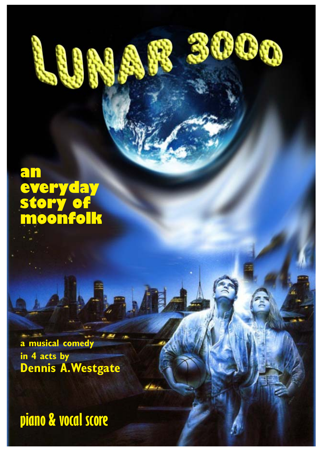### **an everyday story of moonfolk**

**a musical comedy in 4 acts by Dennis A.Westgate**

**piano & vocal score**

**© 2020 Lunar 3000 • TYNE MUSIC • tynemusiclimited@gmail.com**

X

D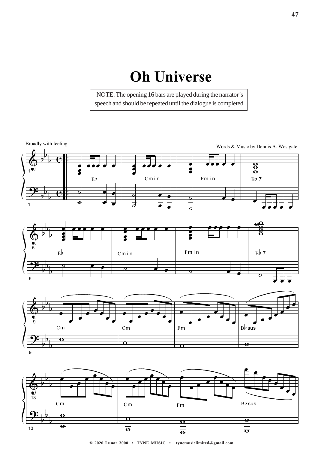## **2Dh Universe**

NOTE: The opening 16 bars are played during the narrator's speech and should be repeated until the dialogue is completed.



"  $\frac{1}{2}$  $\frac{1}{2}$  $\frac{1}{2}$  $\overline{5}$  $\rho$   $\rho$   $\rho$ º  $\overline{\mathcal{O}}$   $\overline{\mathcal{O}}$   $\overline{\mathcal{O}}$ º  $\overline{1}$  $\frac{1}{2}$  $\overline{\phantom{a}}$ 



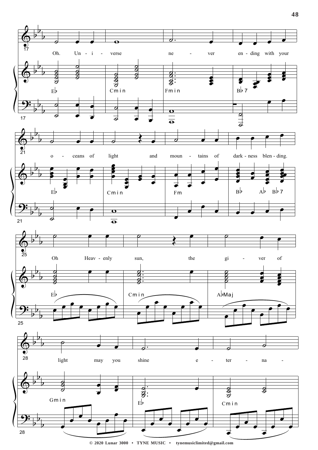

**© 2020 Lunar 3000 • TYNE MUSIC • tynemusiclimited@gmail.com**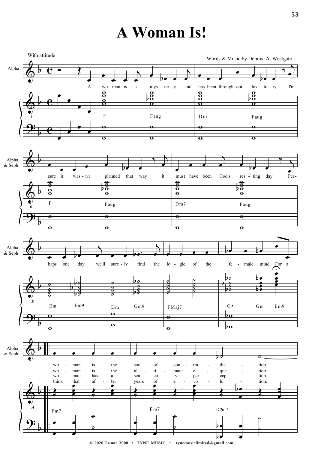## **A Woman Is!**



**© 2020 Lunar 3000 • TYNE MUSIC • tynemusiclimited@gmail.com**